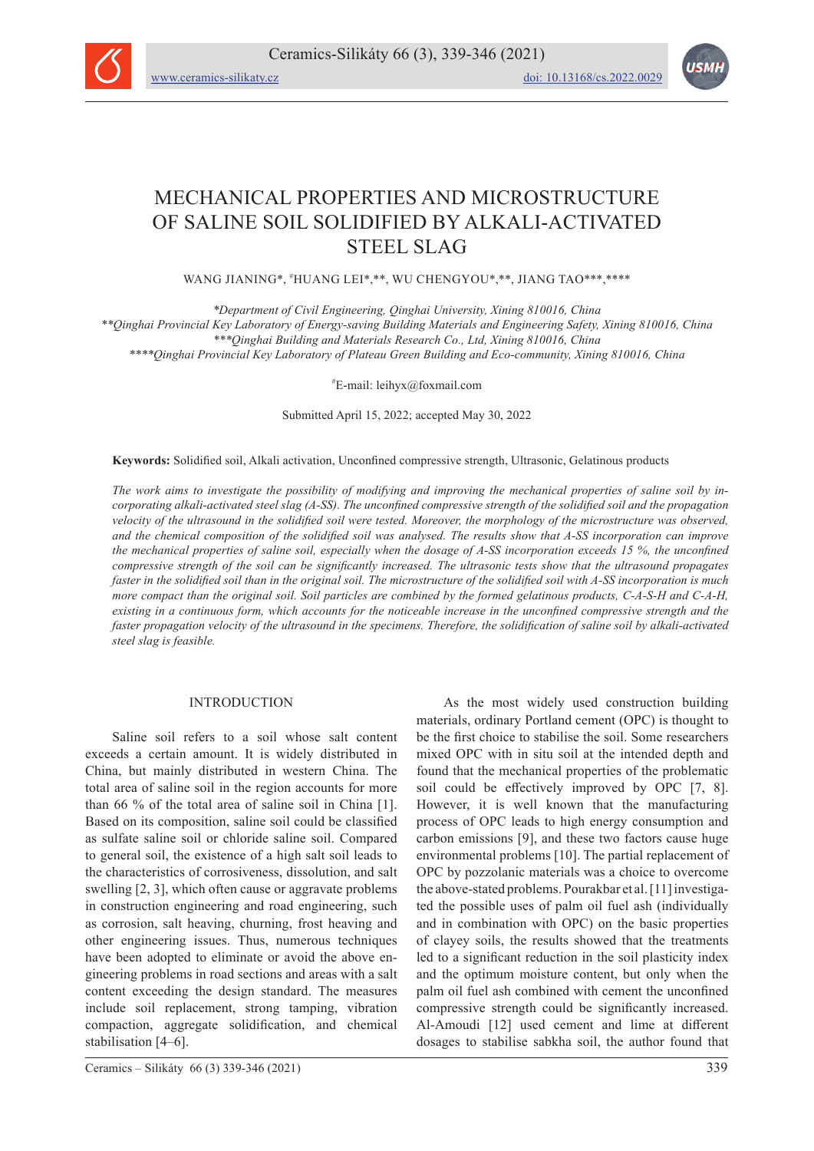

# MECHANICAL PROPERTIES AND MICROSTRUCTURE OF SALINE SOIL SOLIDIFIED BY ALKALI-ACTIVATED STEEL SLAG

WANG JIANING\*, # HUANG LEI\*,\*\*, WU CHENGYOU\*,\*\*, JIANG TAO\*\*\*,\*\*\*\*

*\*Department of Civil Engineering, Qinghai University, Xining 810016, China \*\*Qinghai Provincial Key Laboratory of Energy-saving Building Materials and Engineering Safety, Xining 810016, China \*\*\*Qinghai Building and Materials Research Co., Ltd, Xining 810016, China \*\*\*\*Qinghai Provincial Key Laboratory of Plateau Green Building and Eco-community, Xining 810016, China*

# E-mail: leihyx@foxmail.com

Submitted April 15, 2022; accepted May 30, 2022

**Keywords:** Solidified soil, Alkali activation, Unconfined compressive strength, Ultrasonic, Gelatinous products

*The work aims to investigate the possibility of modifying and improving the mechanical properties of saline soil by incorporating alkali-activated steel slag (A-SS). The unconfined compressive strength of the solidified soil and the propagation velocity of the ultrasound in the solidified soil were tested. Moreover, the morphology of the microstructure was observed, and the chemical composition of the solidified soil was analysed. The results show that A-SS incorporation can improve the mechanical properties of saline soil, especially when the dosage of A-SS incorporation exceeds 15 %, the unconfined compressive strength of the soil can be significantly increased. The ultrasonic tests show that the ultrasound propagates faster in the solidified soil than in the original soil. The microstructure of the solidified soil with A-SS incorporation is much more compact than the original soil. Soil particles are combined by the formed gelatinous products, C-A-S-H and C-A-H, existing in a continuous form, which accounts for the noticeable increase in the unconfined compressive strength and the faster propagation velocity of the ultrasound in the specimens. Therefore, the solidification of saline soil by alkali-activated steel slag is feasible.*

## INTRODUCTION

Saline soil refers to a soil whose salt content exceeds a certain amount. It is widely distributed in China, but mainly distributed in western China. The total area of saline soil in the region accounts for more than 66 % of the total area of saline soil in China [1]. Based on its composition, saline soil could be classified as sulfate saline soil or chloride saline soil. Compared to general soil, the existence of a high salt soil leads to the characteristics of corrosiveness, dissolution, and salt swelling [2, 3], which often cause or aggravate problems in construction engineering and road engineering, such as corrosion, salt heaving, churning, frost heaving and other engineering issues. Thus, numerous techniques have been adopted to eliminate or avoid the above engineering problems in road sections and areas with a salt content exceeding the design standard. The measures include soil replacement, strong tamping, vibration compaction, aggregate solidification, and chemical stabilisation [4–6].

Ceramics – Silikáty 66 (3) 339-346 (2021) 339

As the most widely used construction building materials, ordinary Portland cement (OPC) is thought to be the first choice to stabilise the soil. Some researchers mixed OPC with in situ soil at the intended depth and found that the mechanical properties of the problematic soil could be effectively improved by OPC [7, 8]. However, it is well known that the manufacturing process of OPC leads to high energy consumption and carbon emissions [9], and these two factors cause huge environmental problems [10]. The partial replacement of OPC by pozzolanic materials was a choice to overcome the above-stated problems. Pourakbar et al. [11] investigated the possible uses of palm oil fuel ash (individually and in combination with OPC) on the basic properties of clayey soils, the results showed that the treatments led to a significant reduction in the soil plasticity index and the optimum moisture content, but only when the palm oil fuel ash combined with cement the unconfined compressive strength could be significantly increased. Al-Amoudi [12] used cement and lime at different dosages to stabilise sabkha soil, the author found that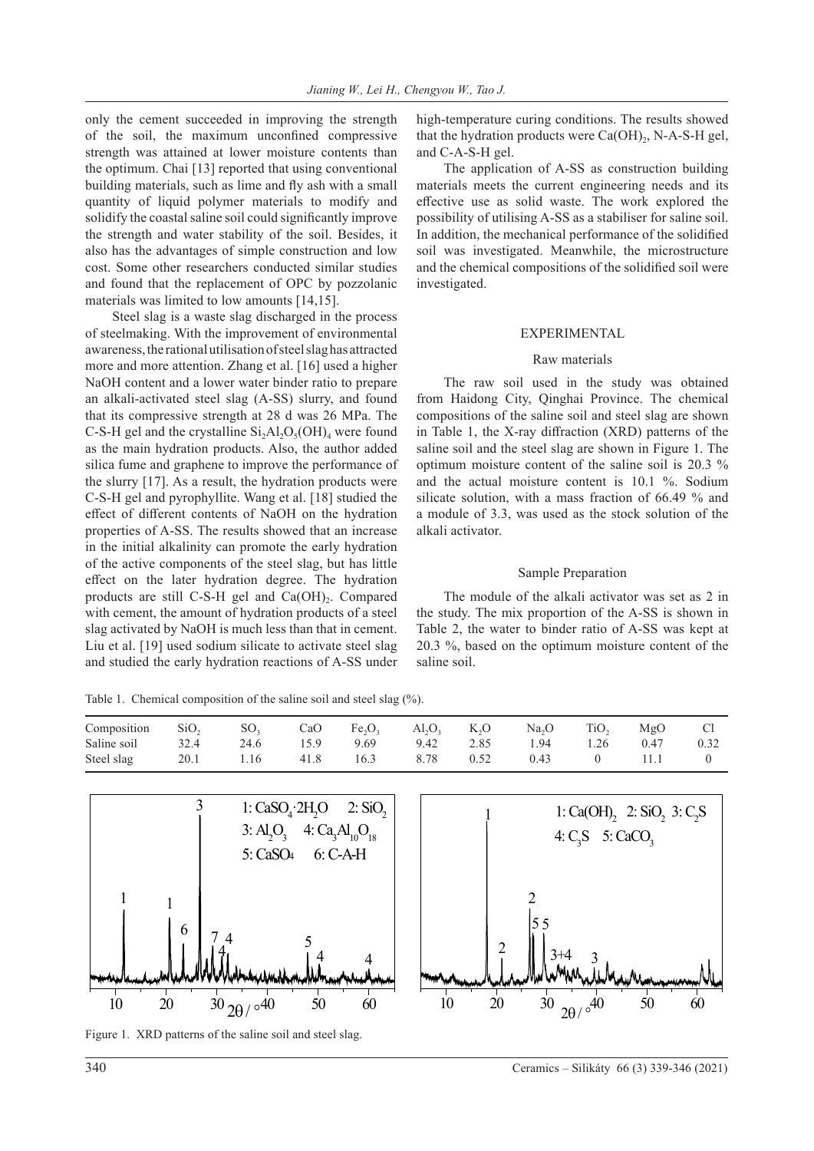only the cement succeeded in improving the strength of the soil, the maximum unconfined compressive strength was attained at lower moisture contents than the optimum. Chai [13] reported that using conventional building materials, such as lime and fly ash with a small quantity of liquid polymer materials to modify and solidify the coastal saline soil could significantly improve the strength and water stability of the soil. Besides, it also has the advantages of simple construction and low cost. Some other researchers conducted similar studies and found that the replacement of OPC by pozzolanic materials was limited to low amounts [14,15].

Steel slag is a waste slag discharged in the process of steelmaking. With the improvement of environmental awareness, the rational utilisation of steel slag has attracted more and more attention. Zhang et al. [16] used a higher NaOH content and a lower water binder ratio to prepare an alkali-activated steel slag (A-SS) slurry, and found that its compressive strength at 28 d was 26 MPa. The C-S-H gel and the crystalline  $Si<sub>2</sub>Al<sub>2</sub>O<sub>5</sub>(OH)<sub>4</sub>$  were found as the main hydration products. Also, the author added silica fume and graphene to improve the performance of the slurry [17]. As a result, the hydration products were C-S-H gel and pyrophyllite. Wang et al. [18] studied the effect of different contents of NaOH on the hydration properties of A-SS. The results showed that an increase in the initial alkalinity can promote the early hydration of the active components of the steel slag, but has little effect on the later hydration degree. The hydration products are still C-S-H gel and  $Ca(OH)_{2}$ . Compared with cement, the amount of hydration products of a steel slag activated by NaOH is much less than that in cement. Liu et al. [19] used sodium silicate to activate steel slag and studied the early hydration reactions of A-SS under

Table 1. Chemical composition of the saline soil and steel slag (%).

high-temperature curing conditions. The results showed that the hydration products were  $Ca(OH)_{2}$ , N-A-S-H gel, and C-A-S-H gel.

The application of A-SS as construction building materials meets the current engineering needs and its effective use as solid waste. The work explored the possibility of utilising A-SS as a stabiliser for saline soil. In addition, the mechanical performance of the solidified soil was investigated. Meanwhile, the microstructure and the chemical compositions of the solidified soil were investigated.

#### EXPERIMENTAL

#### Raw materials

The raw soil used in the study was obtained from Haidong City, Qinghai Province. The chemical compositions of the saline soil and steel slag are shown in Table 1, the X-ray diffraction (XRD) patterns of the saline soil and the steel slag are shown in Figure 1. The optimum moisture content of the saline soil is 20.3 % and the actual moisture content is 10.1 %. Sodium silicate solution, with a mass fraction of 66.49 % and a module of 3.3, was used as the stock solution of the alkali activator.

#### Sample Preparation

The module of the alkali activator was set as 2 in the study. The mix proportion of the A-SS is shown in Table 2, the water to binder ratio of A-SS was kept at 20.3 %, based on the optimum moisture content of the saline soil.

| Composition | SiO <sub>2</sub> | $\text{SO}_2$ | CaO  | $Fe_2O_2$ | $Al_2O_2$ | K <sub>2</sub> O | Na <sub>2</sub> O | TiO <sub>2</sub> | MgO  | C <sub>1</sub> |
|-------------|------------------|---------------|------|-----------|-----------|------------------|-------------------|------------------|------|----------------|
| Saline soil | 32.4             | 24.6          | 15.9 | 9.69      | 9.42      | 2.85             | 1.94              | 1.26             | 0.47 | 0.32           |
| Steel slag  | 20.1             | 1.16          | 41.8 | 16.3      | 8.78      | 0.52             | 0.43              |                  |      |                |



Figure 1. XRD patterns of the saline soil and steel slag.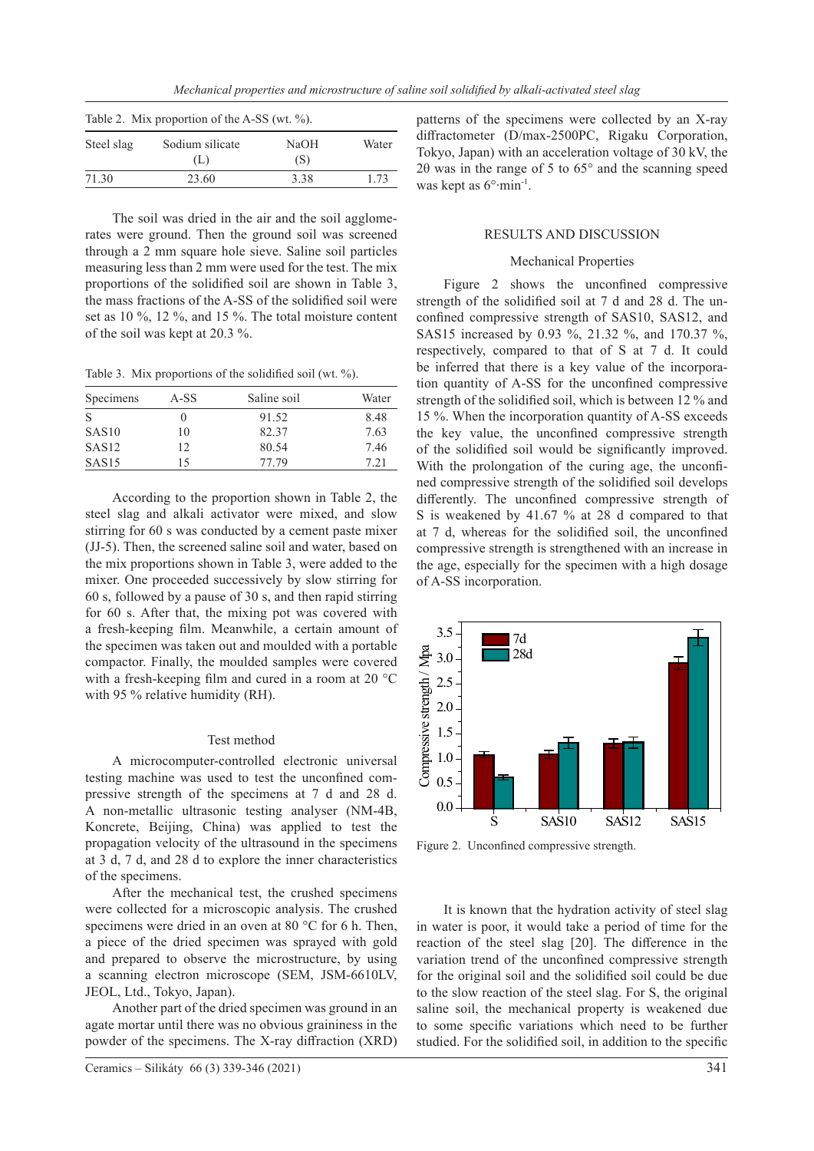| Table 2. Mix proportion of the A-SS (wt. $\%$ ). |                        |             |       |  |  |  |
|--------------------------------------------------|------------------------|-------------|-------|--|--|--|
| Steel slag                                       | Sodium silicate<br>(L) | NaOH<br>(S) | Water |  |  |  |
| 71.30                                            | 23.60                  | 3.38        | 1.73  |  |  |  |

The soil was dried in the air and the soil agglomerates were ground. Then the ground soil was screened through a 2 mm square hole sieve. Saline soil particles measuring less than 2 mm were used for the test. The mix proportions of the solidified soil are shown in Table 3, the mass fractions of the A-SS of the solidified soil were set as 10 %, 12 %, and 15 %. The total moisture content of the soil was kept at 20.3 %.

Table 3. Mix proportions of the solidified soil (wt. %).

| Specimens         | A-SS | Saline soil | Water |
|-------------------|------|-------------|-------|
| <sup>S</sup>      |      | 91.52       | 8.48  |
| SAS10             | 10   | 82.37       | 7.63  |
| SAS <sub>12</sub> | 12   | 80.54       | 7.46  |
| SAS <sub>15</sub> | 15   | 77.79       | 7.21  |

According to the proportion shown in Table 2, the steel slag and alkali activator were mixed, and slow stirring for 60 s was conducted by a cement paste mixer (JJ-5). Then, the screened saline soil and water, based on the mix proportions shown in Table 3, were added to the mixer. One proceeded successively by slow stirring for 60 s, followed by a pause of 30 s, and then rapid stirring for 60 s. After that, the mixing pot was covered with a fresh-keeping film. Meanwhile, a certain amount of the specimen was taken out and moulded with a portable compactor. Finally, the moulded samples were covered with a fresh-keeping film and cured in a room at 20 °C with 95 % relative humidity (RH).

## Test method

A microcomputer-controlled electronic universal testing machine was used to test the unconfined compressive strength of the specimens at 7 d and 28 d. A non-metallic ultrasonic testing analyser (NM-4B, Koncrete, Beijing, China) was applied to test the propagation velocity of the ultrasound in the specimens at 3 d, 7 d, and 28 d to explore the inner characteristics of the specimens.

After the mechanical test, the crushed specimens were collected for a microscopic analysis. The crushed specimens were dried in an oven at 80 °C for 6 h. Then, a piece of the dried specimen was sprayed with gold and prepared to observe the microstructure, by using a scanning electron microscope (SEM, JSM-6610LV, JEOL, Ltd., Tokyo, Japan).

Another part of the dried specimen was ground in an agate mortar until there was no obvious graininess in the powder of the specimens. The X-ray diffraction (XRD) patterns of the specimens were collected by an X-ray diffractometer (D/max-2500PC, Rigaku Corporation, Tokyo, Japan) with an acceleration voltage of 30 kV, the  $2\theta$  was in the range of 5 to 65 $\degree$  and the scanning speed was kept as 6°∙min-1.

## RESULTS AND DISCUSSION

#### Mechanical Properties

Figure 2 shows the unconfined compressive strength of the solidified soil at 7 d and 28 d. The unconfined compressive strength of SAS10, SAS12, and SAS15 increased by 0.93 %, 21.32 %, and 170.37 %, respectively, compared to that of S at 7 d. It could be inferred that there is a key value of the incorporation quantity of A-SS for the unconfined compressive strength of the solidified soil, which is between 12 % and 15 %. When the incorporation quantity of A-SS exceeds the key value, the unconfined compressive strength of the solidified soil would be significantly improved. With the prolongation of the curing age, the unconfined compressive strength of the solidified soil develops differently. The unconfined compressive strength of S is weakened by 41.67 % at 28 d compared to that at 7 d, whereas for the solidified soil, the unconfined compressive strength is strengthened with an increase in the age, especially for the specimen with a high dosage of A-SS incorporation.



Figure 2. Unconfined compressive strength.

It is known that the hydration activity of steel slag in water is poor, it would take a period of time for the reaction of the steel slag [20]. The difference in the variation trend of the unconfined compressive strength for the original soil and the solidified soil could be due to the slow reaction of the steel slag. For S, the original saline soil, the mechanical property is weakened due to some specific variations which need to be further studied. For the solidified soil, in addition to the specific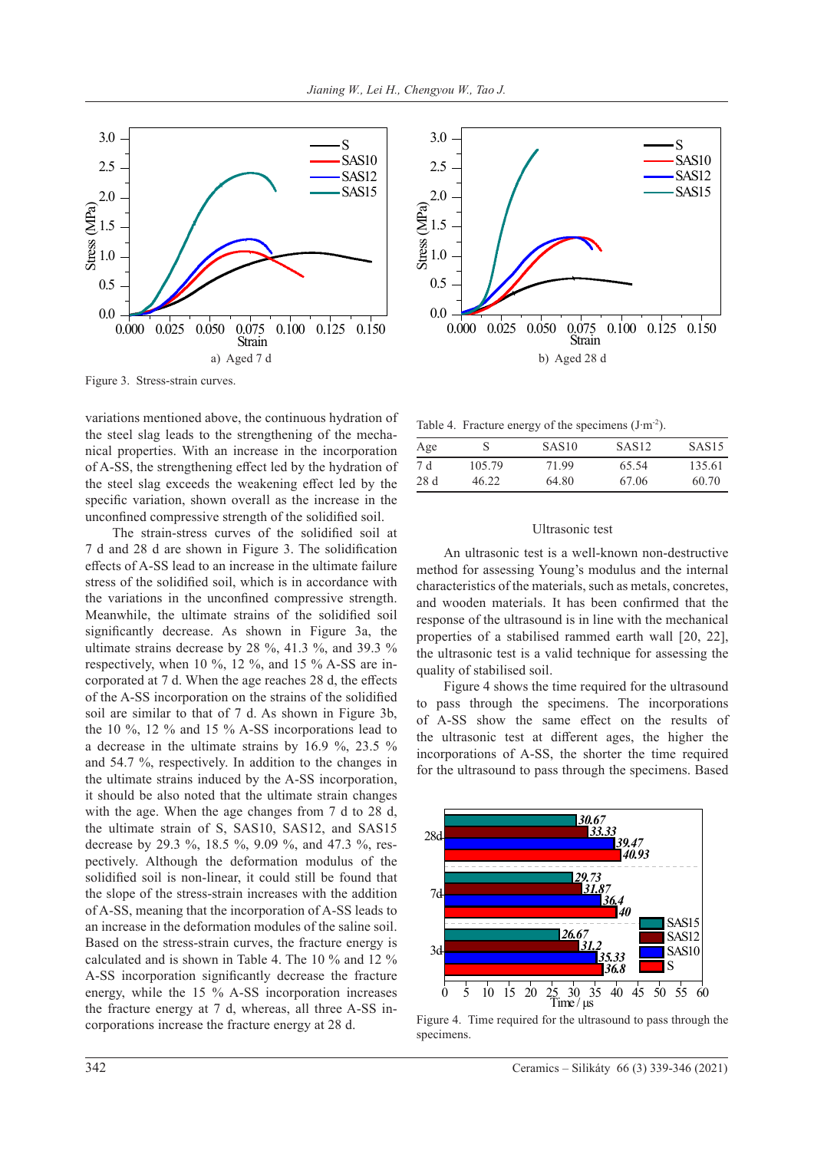

Figure 3. Stress-strain curves.

variations mentioned above, the continuous hydration of the steel slag leads to the strengthening of the mechanical properties. With an increase in the incorporation of A-SS, the strengthening effect led by the hydration of the steel slag exceeds the weakening effect led by the specific variation, shown overall as the increase in the unconfined compressive strength of the solidified soil.

The strain-stress curves of the solidified soil at 7 d and 28 d are shown in Figure 3. The solidification effects of A-SS lead to an increase in the ultimate failure stress of the solidified soil, which is in accordance with the variations in the unconfined compressive strength. Meanwhile, the ultimate strains of the solidified soil significantly decrease. As shown in Figure 3a, the ultimate strains decrease by 28 %, 41.3 %, and 39.3 % respectively, when 10 %, 12 %, and 15 % A-SS are incorporated at 7 d. When the age reaches 28 d, the effects of the A-SS incorporation on the strains of the solidified soil are similar to that of 7 d. As shown in Figure 3b, the 10 %, 12 % and 15 % A-SS incorporations lead to a decrease in the ultimate strains by 16.9 %, 23.5 % and 54.7 %, respectively. In addition to the changes in the ultimate strains induced by the A-SS incorporation, it should be also noted that the ultimate strain changes with the age. When the age changes from 7 d to 28 d, the ultimate strain of S, SAS10, SAS12, and SAS15 decrease by 29.3 %, 18.5 %, 9.09 %, and 47.3 %, respectively. Although the deformation modulus of the solidified soil is non-linear, it could still be found that the slope of the stress-strain increases with the addition of A-SS, meaning that the incorporation of A-SS leads to an increase in the deformation modules of the saline soil. Based on the stress-strain curves, the fracture energy is calculated and is shown in Table 4. The 10 % and 12 % A-SS incorporation significantly decrease the fracture energy, while the 15 % A-SS incorporation increases the fracture energy at 7 d, whereas, all three A-SS incorporations increase the fracture energy at 28 d.



Table 4. Fracture energy of the specimens  $(J·m<sup>-2</sup>)$ .

| Age  |        | SAS <sub>10</sub> | SAS <sub>12</sub> | SAS <sub>15</sub> |
|------|--------|-------------------|-------------------|-------------------|
| 7 d  | 105.79 | 71.99             | 65.54             | 135.61            |
| 28 d | 46.22  | 64.80             | 67.06             | 60.70             |

## Ultrasonic test

An ultrasonic test is a well-known non-destructive method for assessing Young's modulus and the internal characteristics of the materials, such as metals, concretes, and wooden materials. It has been confirmed that the response of the ultrasound is in line with the mechanical properties of a stabilised rammed earth wall [20, 22], the ultrasonic test is a valid technique for assessing the quality of stabilised soil.

Figure 4 shows the time required for the ultrasound to pass through the specimens. The incorporations of A-SS show the same effect on the results of the ultrasonic test at different ages, the higher the incorporations of A-SS, the shorter the time required for the ultrasound to pass through the specimens. Based



Figure 4. Time required for the ultrasound to pass through the specimens.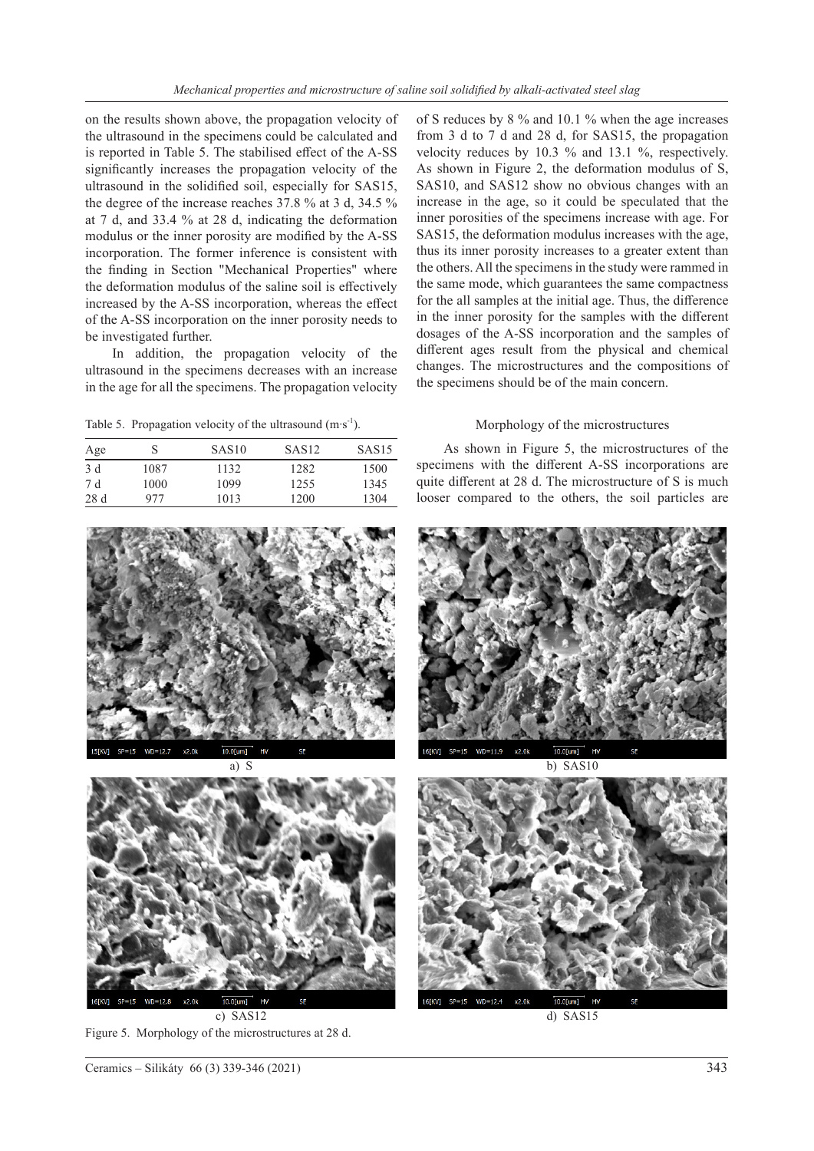on the results shown above, the propagation velocity of the ultrasound in the specimens could be calculated and is reported in Table 5. The stabilised effect of the A-SS significantly increases the propagation velocity of the ultrasound in the solidified soil, especially for SAS15, the degree of the increase reaches 37.8 % at 3 d, 34.5 % at 7 d, and 33.4 % at 28 d, indicating the deformation modulus or the inner porosity are modified by the A-SS incorporation. The former inference is consistent with the finding in Section "Mechanical Properties" where the deformation modulus of the saline soil is effectively increased by the A-SS incorporation, whereas the effect of the A-SS incorporation on the inner porosity needs to be investigated further.

In addition, the propagation velocity of the ultrasound in the specimens decreases with an increase in the age for all the specimens. The propagation velocity

Table 5. Propagation velocity of the ultrasound  $(m·s^{-1})$ .

| Age | S    | SAS10 | SAS12 | SAS <sub>15</sub> |
|-----|------|-------|-------|-------------------|
| 3 d | 1087 | 1132  | 1282  | 1500              |
| 7 d | 1000 | 1099  | 1255  | 1345              |
| 28d | 977  | 1013  | 1200  | 1304              |

of S reduces by 8 % and 10.1 % when the age increases from 3 d to 7 d and 28 d, for SAS15, the propagation velocity reduces by 10.3 % and 13.1 %, respectively. As shown in Figure 2, the deformation modulus of S, SAS10, and SAS12 show no obvious changes with an increase in the age, so it could be speculated that the inner porosities of the specimens increase with age. For SAS15, the deformation modulus increases with the age, thus its inner porosity increases to a greater extent than the others. All the specimens in the study were rammed in the same mode, which guarantees the same compactness for the all samples at the initial age. Thus, the difference in the inner porosity for the samples with the different dosages of the A-SS incorporation and the samples of different ages result from the physical and chemical changes. The microstructures and the compositions of the specimens should be of the main concern.

# Morphology of the microstructures

As shown in Figure 5, the microstructures of the specimens with the different A-SS incorporations are quite different at 28 d. The microstructure of S is much looser compared to the others, the soil particles are



Figure 5. Morphology of the microstructures at 28 d.

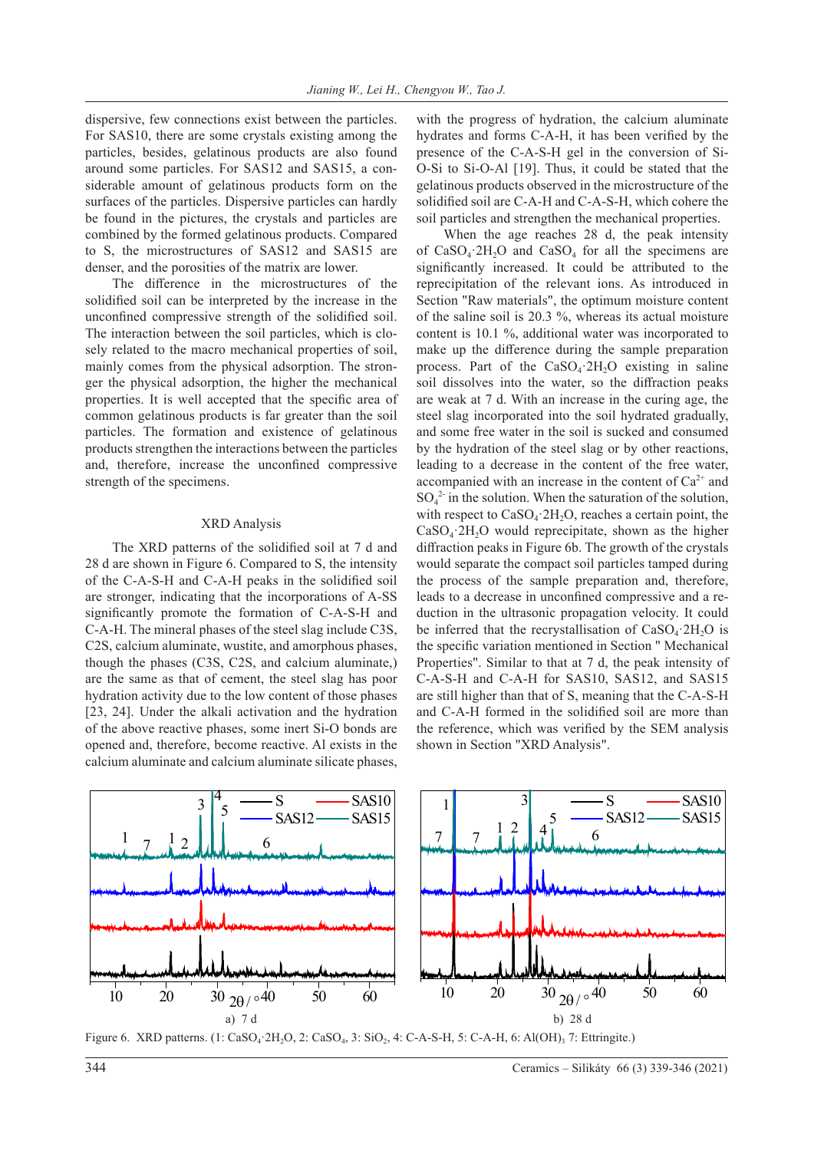dispersive, few connections exist between the particles. For SAS10, there are some crystals existing among the particles, besides, gelatinous products are also found around some particles. For SAS12 and SAS15, a considerable amount of gelatinous products form on the surfaces of the particles. Dispersive particles can hardly be found in the pictures, the crystals and particles are combined by the formed gelatinous products. Compared to S, the microstructures of SAS12 and SAS15 are denser, and the porosities of the matrix are lower.

The difference in the microstructures of the solidified soil can be interpreted by the increase in the unconfined compressive strength of the solidified soil. The interaction between the soil particles, which is closely related to the macro mechanical properties of soil, mainly comes from the physical adsorption. The stronger the physical adsorption, the higher the mechanical properties. It is well accepted that the specific area of common gelatinous products is far greater than the soil particles. The formation and existence of gelatinous products strengthen the interactions between the particles and, therefore, increase the unconfined compressive strength of the specimens.

#### XRD Analysis

The XRD patterns of the solidified soil at 7 d and 28 d are shown in Figure 6. Compared to S, the intensity of the C-A-S-H and C-A-H peaks in the solidified soil are stronger, indicating that the incorporations of A-SS significantly promote the formation of C-A-S-H and C-A-H. The mineral phases of the steel slag include C3S, C2S, calcium aluminate, wustite, and amorphous phases, though the phases (C3S, C2S, and calcium aluminate,) are the same as that of cement, the steel slag has poor hydration activity due to the low content of those phases [23, 24]. Under the alkali activation and the hydration of the above reactive phases, some inert Si-O bonds are opened and, therefore, become reactive. Al exists in the calcium aluminate and calcium aluminate silicate phases,

with the progress of hydration, the calcium aluminate hydrates and forms C-A-H, it has been verified by the presence of the C-A-S-H gel in the conversion of Si-O-Si to Si-O-Al [19]. Thus, it could be stated that the gelatinous products observed in the microstructure of the solidified soil are C-A-H and C-A-S-H, which cohere the soil particles and strengthen the mechanical properties.

When the age reaches 28 d, the peak intensity of  $CaSO<sub>4</sub>·2H<sub>2</sub>O$  and  $CaSO<sub>4</sub>$  for all the specimens are significantly increased. It could be attributed to the reprecipitation of the relevant ions. As introduced in Section "Raw materials", the optimum moisture content of the saline soil is 20.3 %, whereas its actual moisture content is 10.1 %, additional water was incorporated to make up the difference during the sample preparation process. Part of the  $CaSO<sub>4</sub>·2H<sub>2</sub>O$  existing in saline soil dissolves into the water, so the diffraction peaks are weak at 7 d. With an increase in the curing age, the steel slag incorporated into the soil hydrated gradually, and some free water in the soil is sucked and consumed by the hydration of the steel slag or by other reactions, leading to a decrease in the content of the free water, accompanied with an increase in the content of  $Ca^{2+}$  and  $SO_4^2$  in the solution. When the saturation of the solution, with respect to  $CaSO<sub>4</sub>·2H<sub>2</sub>O$ , reaches a certain point, the  $CaSO<sub>4</sub>·2H<sub>2</sub>O$  would reprecipitate, shown as the higher diffraction peaks in Figure 6b. The growth of the crystals would separate the compact soil particles tamped during the process of the sample preparation and, therefore, leads to a decrease in unconfined compressive and a reduction in the ultrasonic propagation velocity. It could be inferred that the recrystallisation of  $CaSO<sub>4</sub>·2H<sub>2</sub>O$  is the specific variation mentioned in Section " Mechanical Properties". Similar to that at 7 d, the peak intensity of C-A-S-H and C-A-H for SAS10, SAS12, and SAS15 are still higher than that of S, meaning that the C-A-S-H and C-A-H formed in the solidified soil are more than the reference, which was verified by the SEM analysis shown in Section "XRD Analysis".



Figure 6. XRD patterns. (1: CaSO<sub>4</sub>: 2H<sub>2</sub>O, 2: CaSO<sub>4</sub>, 3: SiO<sub>2</sub>, 4: C-A-S-H, 5: C-A-H, 6: Al(OH)<sub>3</sub> 7: Ettringite.)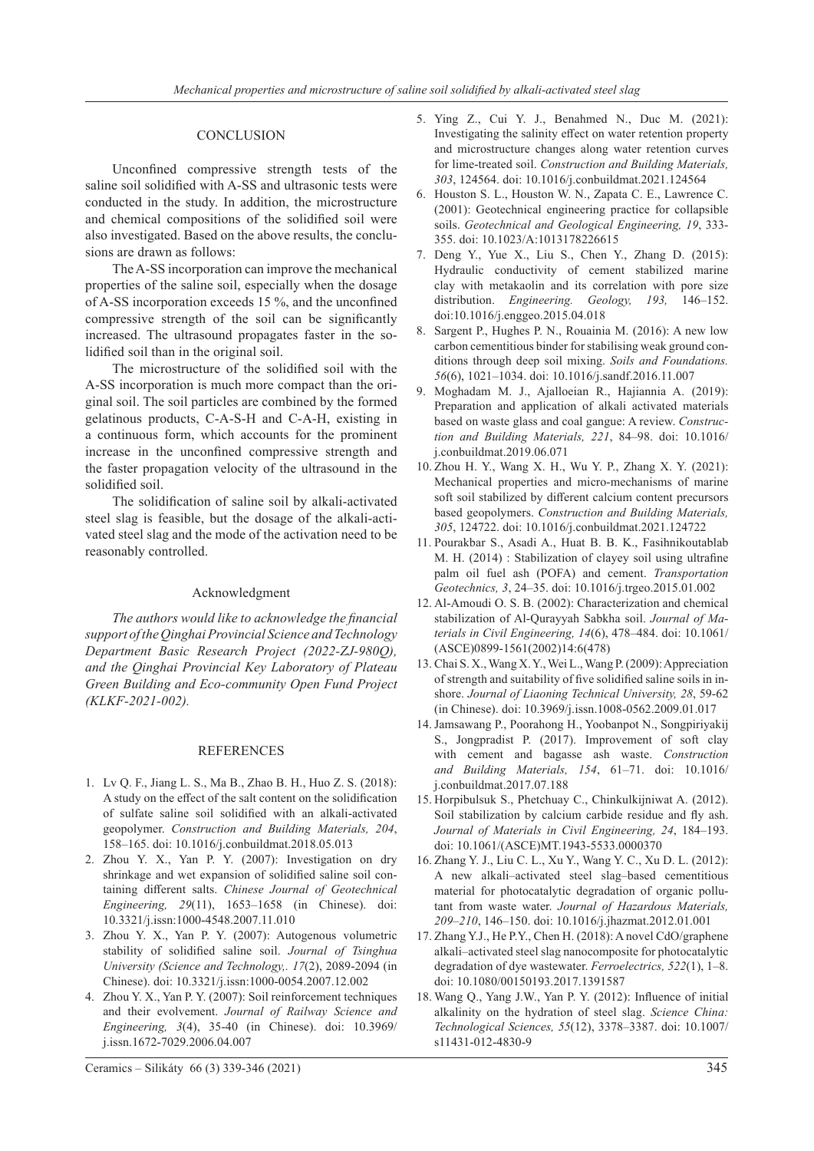## **CONCLUSION**

Unconfined compressive strength tests of the saline soil solidified with A-SS and ultrasonic tests were conducted in the study. In addition, the microstructure and chemical compositions of the solidified soil were also investigated. Based on the above results, the conclusions are drawn as follows:

The A-SS incorporation can improve the mechanical properties of the saline soil, especially when the dosage of A-SS incorporation exceeds 15 %, and the unconfined compressive strength of the soil can be significantly increased. The ultrasound propagates faster in the solidified soil than in the original soil.

The microstructure of the solidified soil with the A-SS incorporation is much more compact than the original soil. The soil particles are combined by the formed gelatinous products, C-A-S-H and C-A-H, existing in a continuous form, which accounts for the prominent increase in the unconfined compressive strength and the faster propagation velocity of the ultrasound in the solidified soil.

The solidification of saline soil by alkali-activated steel slag is feasible, but the dosage of the alkali-activated steel slag and the mode of the activation need to be reasonably controlled.

## Acknowledgment

*The authors would like to acknowledge the financial support of the Qinghai Provincial Science and Technology Department Basic Research Project (2022-ZJ-980Q), and the Qinghai Provincial Key Laboratory of Plateau Green Building and Eco-community Open Fund Project (KLKF-2021-002).*

## REFERENCES

- 1. Lv Q. F., Jiang L. S., Ma B., Zhao B. H., Huo Z. S. (2018): A study on the effect of the salt content on the solidification of sulfate saline soil solidified with an alkali-activated geopolymer. *Construction and Building Materials, 204*, 158–165. doi: 10.1016/j.conbuildmat.2018.05.013
- 2. Zhou Y. X., Yan P. Y. (2007): Investigation on dry shrinkage and wet expansion of solidified saline soil containing different salts. *Chinese Journal of Geotechnical Engineering, 29*(11), 1653–1658 (in Chinese). doi: 10.3321/j.issn:1000-4548.2007.11.010
- 3. Zhou Y. X., Yan P. Y. (2007): Autogenous volumetric stability of solidified saline soil. *Journal of Tsinghua University (Science and Technology,. 17*(2), 2089-2094 (in Chinese). doi: 10.3321/j.issn:1000-0054.2007.12.002
- 4. Zhou Y. X., Yan P. Y. (2007): Soil reinforcement techniques and their evolvement. *Journal of Railway Science and Engineering, 3*(4), 35-40 (in Chinese). doi: 10.3969/ j.issn.1672-7029.2006.04.007

5. Ying Z., Cui Y. J., Benahmed N., Duc M. (2021): Investigating the salinity effect on water retention property and microstructure changes along water retention curves for lime-treated soil. *Construction and Building Materials, 303*, 124564. doi: 10.1016/j.conbuildmat.2021.124564

- 6. Houston S. L., Houston W. N., Zapata C. E., Lawrence C. (2001): Geotechnical engineering practice for collapsible soils. *Geotechnical and Geological Engineering, 19*, 333- 355. doi: 10.1023/A:1013178226615
- 7. Deng Y., Yue X., Liu S., Chen Y., Zhang D. (2015): Hydraulic conductivity of cement stabilized marine clay with metakaolin and its correlation with pore size distribution. *Engineering. Geology, 193,* 146–152. doi:10.1016/j.enggeo.2015.04.018
- 8. Sargent P., Hughes P. N., Rouainia M. (2016): A new low carbon cementitious binder for stabilising weak ground conditions through deep soil mixing. *Soils and Foundations. 56*(6), 1021–1034. doi: 10.1016/j.sandf.2016.11.007
- 9. Moghadam M. J., Ajalloeian R., Hajiannia A. (2019): Preparation and application of alkali activated materials based on waste glass and coal gangue: A review. *Construction and Building Materials, 221*, 84–98. doi: 10.1016/ j.conbuildmat.2019.06.071
- 10. Zhou H. Y., Wang X. H., Wu Y. P., Zhang X. Y. (2021): Mechanical properties and micro-mechanisms of marine soft soil stabilized by different calcium content precursors based geopolymers. *Construction and Building Materials, 305*, 124722. doi: 10.1016/j.conbuildmat.2021.124722
- 11. Pourakbar S., Asadi A., Huat B. B. K., Fasihnikoutablab M. H. (2014) : Stabilization of clayey soil using ultrafine palm oil fuel ash (POFA) and cement. *Transportation Geotechnics, 3*, 24–35. doi: 10.1016/j.trgeo.2015.01.002
- 12. Al-Amoudi O. S. B. (2002): Characterization and chemical stabilization of Al-Qurayyah Sabkha soil. *Journal of Materials in Civil Engineering, 14*(6), 478–484. doi: 10.1061/ (ASCE)0899-1561(2002)14:6(478)
- 13. Chai S. X., Wang X. Y., Wei L., Wang P. (2009): Appreciation of strength and suitability of five solidified saline soils in inshore. *Journal of Liaoning Technical University, 28*, 59-62 (in Chinese). doi: 10.3969/j.issn.1008-0562.2009.01.017
- 14.Jamsawang P., Poorahong H., Yoobanpot N., Songpiriyakij S., Jongpradist P. (2017). Improvement of soft clay with cement and bagasse ash waste. *Construction and Building Materials, 154*, 61–71. doi: 10.1016/ j.conbuildmat.2017.07.188
- 15. Horpibulsuk S., Phetchuay C., Chinkulkijniwat A. (2012). Soil stabilization by calcium carbide residue and fly ash. *Journal of Materials in Civil Engineering, 24*, 184–193. doi: 10.1061/(ASCE)MT.1943-5533.0000370
- 16. Zhang Y. J., Liu C. L., Xu Y., Wang Y. C., Xu D. L. (2012): A new alkali–activated steel slag–based cementitious material for photocatalytic degradation of organic pollutant from waste water. *Journal of Hazardous Materials, 209–210*, 146–150. doi: 10.1016/j.jhazmat.2012.01.001
- 17. Zhang Y.J., He P.Y., Chen H. (2018): A novel CdO/graphene alkali–activated steel slag nanocomposite for photocatalytic degradation of dye wastewater. *Ferroelectrics, 522*(1), 1–8. doi: 10.1080/00150193.2017.1391587
- 18. Wang Q., Yang J.W., Yan P. Y. (2012): Influence of initial alkalinity on the hydration of steel slag. *Science China: Technological Sciences, 55*(12), 3378–3387. doi: 10.1007/ s11431-012-4830-9

Ceramics – Silikáty 66 (3) 339-346 (2021) 345